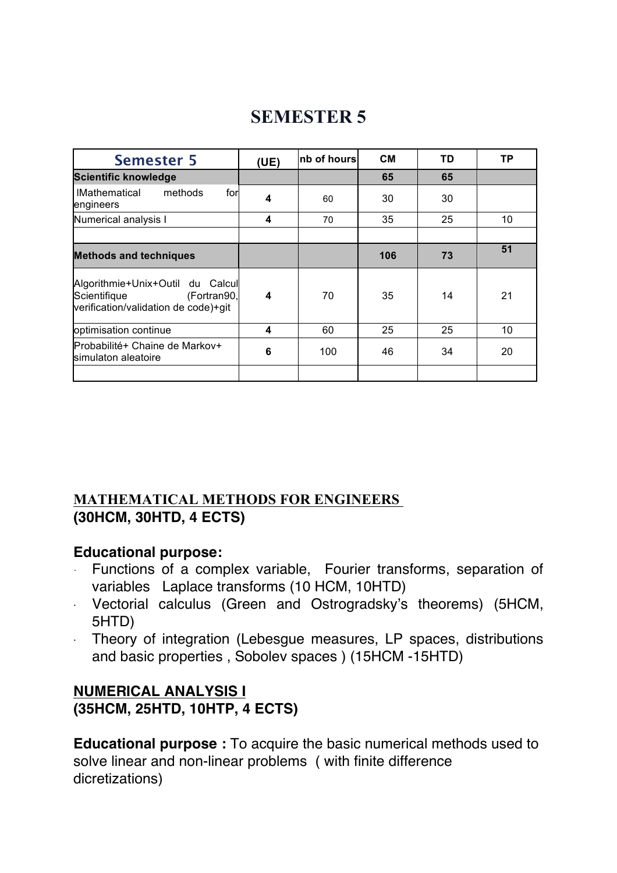#### **Semester 5 (UE) nb of hours CM TD TP Scientific knowledge 65 65** lMathematical methods for engineers **<sup>4</sup>** <sup>60</sup> <sup>30</sup> <sup>30</sup> Numerical analysis **1 4 1 4 1 10 10 10 10 Methods and techniques 106 73 51** Algorithmie+Unix+Outil du Calcul Scientifique (Fortran90, verification/validation de code)+git **4** | 70 | 35 | 14 | 21 optimisation continue **4** 60 25 25 10 Probabilité+ Chaine de Markov+ simulaton aleatoire **<sup>6</sup>** <sup>100</sup> <sup>46</sup> <sup>34</sup> <sup>20</sup>

# **SEMESTER 5**

#### **MATHEMATICAL METHODS FOR ENGINEERS (30HCM, 30HTD, 4 ECTS)**

#### **Educational purpose:**

- Functions of a complex variable, Fourier transforms, separation of variables Laplace transforms (10 HCM, 10HTD)
- · Vectorial calculus (Green and Ostrogradsky's theorems) (5HCM, 5HTD)
- Theory of integration (Lebesgue measures, LP spaces, distributions and basic properties , Sobolev spaces ) (15HCM -15HTD)

### **NUMERICAL ANALYSIS I (35HCM, 25HTD, 10HTP, 4 ECTS)**

**Educational purpose :** To acquire the basic numerical methods used to solve linear and non-linear problems ( with finite difference dicretizations)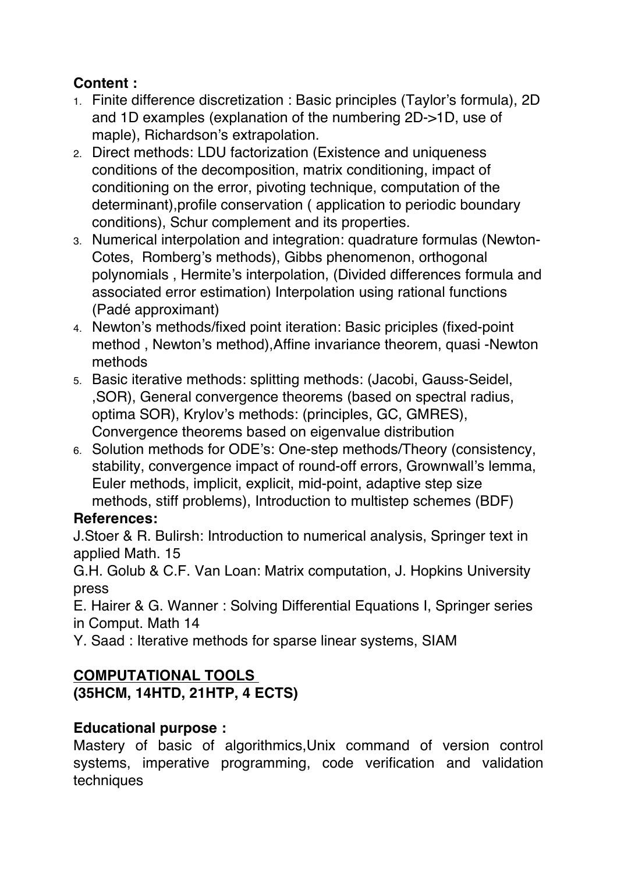# **Content :**

- 1. Finite difference discretization : Basic principles (Taylor's formula), 2D and 1D examples (explanation of the numbering 2D->1D, use of maple), Richardson's extrapolation.
- 2. Direct methods: LDU factorization (Existence and uniqueness conditions of the decomposition, matrix conditioning, impact of conditioning on the error, pivoting technique, computation of the determinant),profile conservation ( application to periodic boundary conditions), Schur complement and its properties.
- 3. Numerical interpolation and integration: quadrature formulas (Newton-Cotes, Romberg's methods), Gibbs phenomenon, orthogonal polynomials , Hermite's interpolation, (Divided differences formula and associated error estimation) Interpolation using rational functions (Padé approximant)
- 4. Newton's methods/fixed point iteration: Basic priciples (fixed-point method , Newton's method),Affine invariance theorem, quasi -Newton methods
- 5. Basic iterative methods: splitting methods: (Jacobi, Gauss-Seidel, ,SOR), General convergence theorems (based on spectral radius, optima SOR), Krylov's methods: (principles, GC, GMRES), Convergence theorems based on eigenvalue distribution
- 6. Solution methods for ODE's: One-step methods/Theory (consistency, stability, convergence impact of round-off errors, Grownwall's lemma, Euler methods, implicit, explicit, mid-point, adaptive step size methods, stiff problems), Introduction to multistep schemes (BDF)

# **References:**

J.Stoer & R. Bulirsh: Introduction to numerical analysis, Springer text in applied Math. 15

G.H. Golub & C.F. Van Loan: Matrix computation, J. Hopkins University press

E. Hairer & G. Wanner : Solving Differential Equations I, Springer series in Comput. Math 14

Y. Saad : Iterative methods for sparse linear systems, SIAM

# **COMPUTATIONAL TOOLS**

# **(35HCM, 14HTD, 21HTP, 4 ECTS)**

# **Educational purpose :**

Mastery of basic of algorithmics,Unix command of version control systems, imperative programming, code verification and validation techniques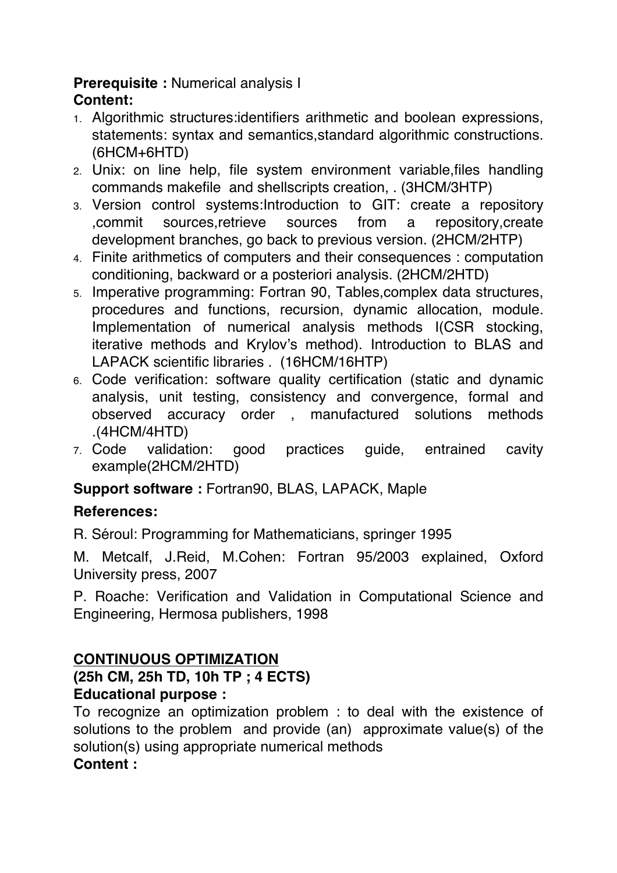#### **Prerequisite :** Numerical analysis I **Content:**

- 1. Algorithmic structures:identifiers arithmetic and boolean expressions, statements: syntax and semantics,standard algorithmic constructions. (6HCM+6HTD)
- 2. Unix: on line help, file system environment variable,files handling commands makefile and shellscripts creation, . (3HCM/3HTP)
- 3. Version control systems:Introduction to GIT: create a repository ,commit sources,retrieve sources from a repository,create development branches, go back to previous version. (2HCM/2HTP)
- 4. Finite arithmetics of computers and their consequences : computation conditioning, backward or a posteriori analysis. (2HCM/2HTD)
- 5. Imperative programming: Fortran 90, Tables,complex data structures, procedures and functions, recursion, dynamic allocation, module. Implementation of numerical analysis methods I(CSR stocking, iterative methods and Krylov's method). Introduction to BLAS and LAPACK scientific libraries . (16HCM/16HTP)
- 6. Code verification: software quality certification (static and dynamic analysis, unit testing, consistency and convergence, formal and observed accuracy order , manufactured solutions methods .(4HCM/4HTD)
- 7. Code validation: good practices guide, entrained cavity example(2HCM/2HTD)

**Support software :** Fortran90, BLAS, LAPACK, Maple

#### **References:**

R. Séroul: Programming for Mathematicians, springer 1995

M. Metcalf, J.Reid, M.Cohen: Fortran 95/2003 explained, Oxford University press, 2007

P. Roache: Verification and Validation in Computational Science and Engineering, Hermosa publishers, 1998

# **CONTINUOUS OPTIMIZATION**

# **(25h CM, 25h TD, 10h TP ; 4 ECTS)**

# **Educational purpose :**

To recognize an optimization problem : to deal with the existence of solutions to the problem and provide (an) approximate value(s) of the solution(s) using appropriate numerical methods **Content :**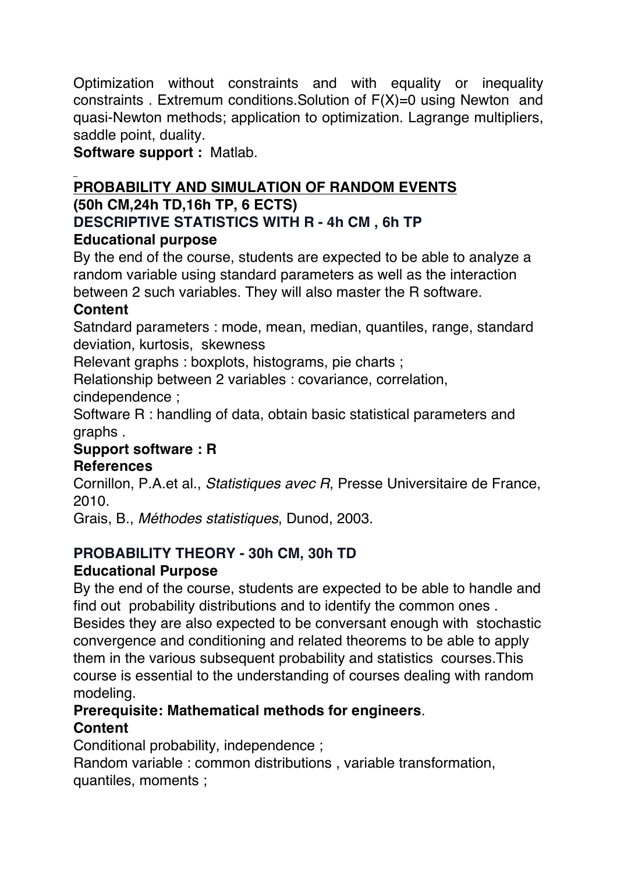Optimization without constraints and with equality or inequality constraints . Extremum conditions.Solution of F(X)=0 using Newton and quasi-Newton methods; application to optimization. Lagrange multipliers, saddle point, duality.

**Software support :** Matlab.

#### **PROBABILITY AND SIMULATION OF RANDOM EVENTS (50h CM,24h TD,16h TP, 6 ECTS)**

# **DESCRIPTIVE STATISTICS WITH R - 4h CM , 6h TP**

# **Educational purpose**

By the end of the course, students are expected to be able to analyze a random variable using standard parameters as well as the interaction between 2 such variables. They will also master the R software.

### **Content**

Satndard parameters : mode, mean, median, quantiles, range, standard deviation, kurtosis, skewness

Relevant graphs : boxplots, histograms, pie charts ;

Relationship between 2 variables : covariance, correlation,

cindependence ;

Software R : handling of data, obtain basic statistical parameters and graphs .

# **Support software : R**

#### **References**

Cornillon, P.A.et al., *Statistiques avec R*, Presse Universitaire de France, 2010.

Grais, B., *Méthodes statistiques*, Dunod, 2003.

#### **PROBABILITY THEORY - 30h CM, 30h TD Educational Purpose**

By the end of the course, students are expected to be able to handle and find out probability distributions and to identify the common ones . Besides they are also expected to be conversant enough with stochastic convergence and conditioning and related theorems to be able to apply them in the various subsequent probability and statistics courses.This course is essential to the understanding of courses dealing with random modeling.

# **Prerequisite: Mathematical methods for engineers**.

# **Content**

Conditional probability, independence ;

Random variable : common distributions , variable transformation, quantiles, moments ;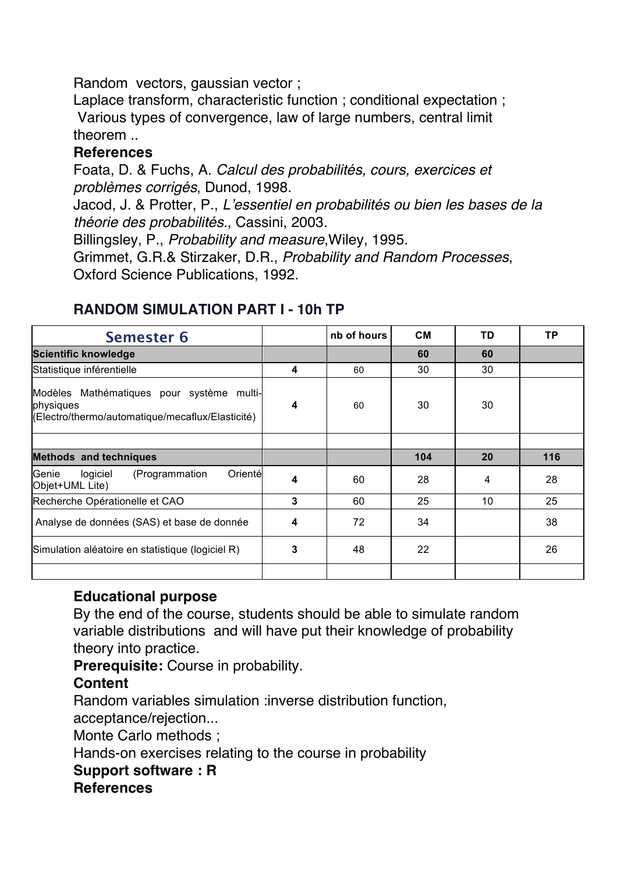Random vectors, gaussian vector ;

Laplace transform, characteristic function ; conditional expectation ; Various types of convergence, law of large numbers, central limit theorem ..

#### **References**

Foata, D. & Fuchs, A. *Calcul des probabilités, cours, exercices et problèmes corrigés*, Dunod, 1998.

Jacod, J. & Protter, P., *L'essentiel en probabilités ou bien les bases de la théorie des probabilités.*, Cassini, 2003.

Billingsley, P., *Probability and measure*,Wiley, 1995.

Grimmet, G.R.& Stirzaker, D.R., *Probability and Random Processes*, Oxford Science Publications, 1992.

| <b>Semester 6</b>                                                                                          |   | nb of hours | <b>CM</b> | TD | <b>TP</b> |
|------------------------------------------------------------------------------------------------------------|---|-------------|-----------|----|-----------|
| <b>Scientific knowledge</b>                                                                                |   |             | 60        | 60 |           |
| Statistique inférentielle                                                                                  | 4 | 60          | 30        | 30 |           |
| Modèles Mathématiques pour système multi-<br>physiques<br>(Electro/thermo/automatique/mecaflux/Elasticité) | 4 | 60          | 30        | 30 |           |
|                                                                                                            |   |             |           |    |           |
| <b>Methods and techniques</b>                                                                              |   |             | 104       | 20 | 116       |
| Genie<br>(Programmation<br>Orienté<br>logiciel<br>Objet+UML Lite)                                          | 4 | 60          | 28        | 4  | 28        |
| Recherche Opérationelle et CAO                                                                             | 3 | 60          | 25        | 10 | 25        |
| Analyse de données (SAS) et base de donnée                                                                 | 4 | 72          | 34        |    | 38        |
| Simulation aléatoire en statistique (logiciel R)                                                           | 3 | 48          | 22        |    | 26        |
|                                                                                                            |   |             |           |    |           |

#### **RANDOM SIMULATION PART I - 10h TP**

#### **Educational purpose**

By the end of the course, students should be able to simulate random variable distributions and will have put their knowledge of probability theory into practice.

**Prerequisite:** Course in probability.

#### **Content**

Random variables simulation :inverse distribution function, acceptance/rejection...

Monte Carlo methods ;

Hands-on exercises relating to the course in probability

#### **Support software : R**

#### **References**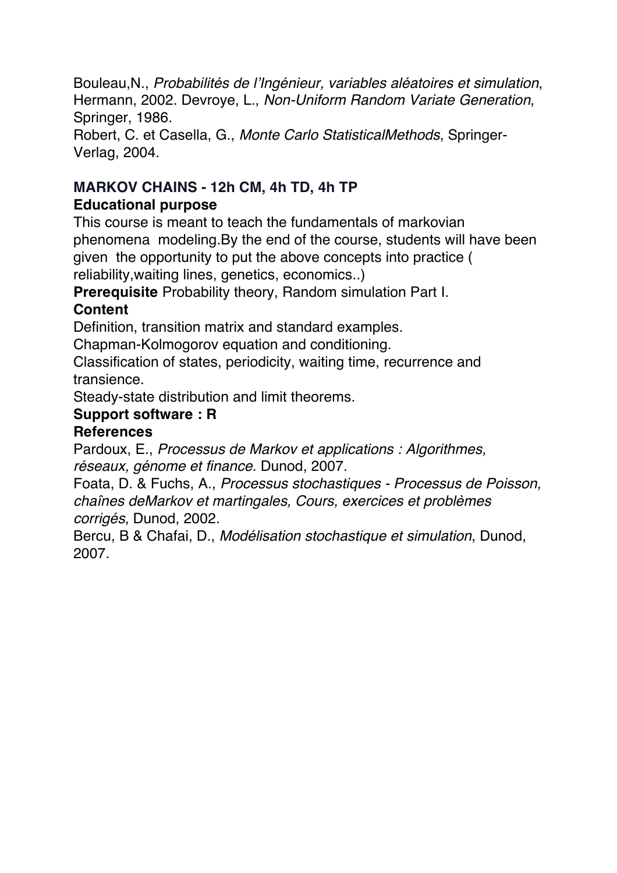Bouleau,N., *Probabilités de l'Ingénieur, variables aléatoires et simulation*, Hermann, 2002. Devroye, L., *Non-Uniform Random Variate Generation*, Springer, 1986.

Robert, C. et Casella, G., *Monte Carlo StatisticalMethods*, Springer-Verlag, 2004.

### **MARKOV CHAINS - 12h CM, 4h TD, 4h TP Educational purpose**

This course is meant to teach the fundamentals of markovian phenomena modeling.By the end of the course, students will have been given the opportunity to put the above concepts into practice ( reliability,waiting lines, genetics, economics..)

**Prerequisite** Probability theory, Random simulation Part I.

# **Content**

Definition, transition matrix and standard examples.

Chapman-Kolmogorov equation and conditioning.

Classification of states, periodicity, waiting time, recurrence and transience.

Steady-state distribution and limit theorems.

# **Support software : R**

# **References**

Pardoux, E., *Processus de Markov et applications : Algorithmes, réseaux, génome et finance.* Dunod, 2007.

Foata, D. & Fuchs, A., *Processus stochastiques - Processus de Poisson, chaînes deMarkov et martingales, Cours, exercices et problèmes corrigés*, Dunod, 2002.

Bercu, B & Chafai, D., *Modélisation stochastique et simulation*, Dunod, 2007.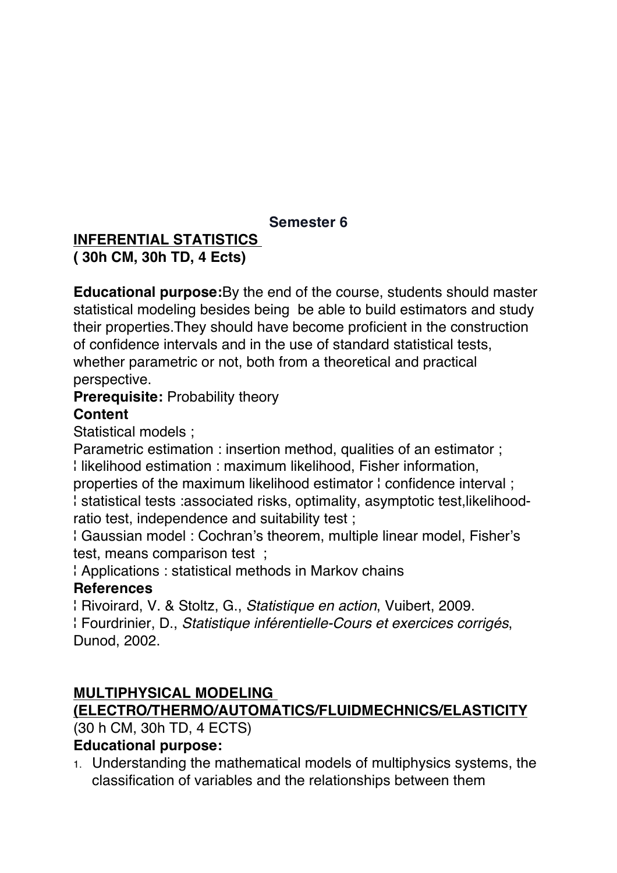#### **Semester 6**

#### **INFERENTIAL STATISTICS ( 30h CM, 30h TD, 4 Ects)**

**Educational purpose:**By the end of the course, students should master statistical modeling besides being be able to build estimators and study their properties.They should have become proficient in the construction of confidence intervals and in the use of standard statistical tests, whether parametric or not, both from a theoretical and practical perspective.

# **Prerequisite:** Probability theory

#### **Content**

Statistical models ;

Parametric estimation : insertion method, qualities of an estimator ; ¦ likelihood estimation : maximum likelihood, Fisher information,

properties of the maximum likelihood estimator ¦ confidence interval ; ¦ statistical tests :associated risks, optimality, asymptotic test,likelihoodratio test, independence and suitability test ;

¦ Gaussian model : Cochran's theorem, multiple linear model, Fisher's test, means comparison test ;

¦ Applications : statistical methods in Markov chains

#### **References**

¦ Rivoirard, V. & Stoltz, G., *Statistique en action*, Vuibert, 2009. ¦ Fourdrinier, D., *Statistique inférentielle-Cours et exercices corrigés*, Dunod, 2002.

# **MULTIPHYSICAL MODELING**

#### **(ELECTRO/THERMO/AUTOMATICS/FLUIDMECHNICS/ELASTICITY**

(30 h CM, 30h TD, 4 ECTS)

#### **Educational purpose:**

1. Understanding the mathematical models of multiphysics systems, the classification of variables and the relationships between them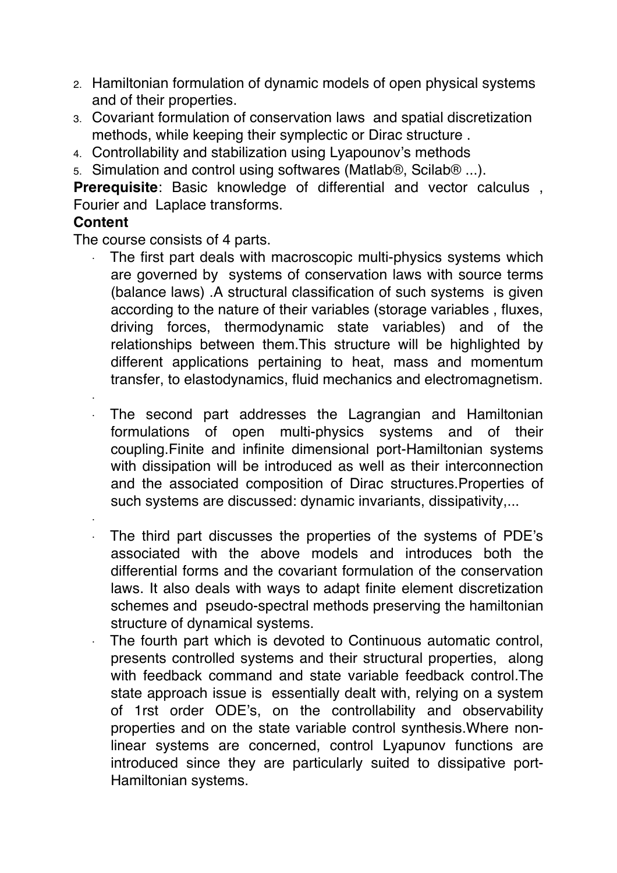- 2. Hamiltonian formulation of dynamic models of open physical systems and of their properties.
- 3. Covariant formulation of conservation laws and spatial discretization methods, while keeping their symplectic or Dirac structure .
- 4. Controllability and stabilization using Lyapounov's methods
- 5. Simulation and control using softwares (Matlab®, Scilab® ...).

**Prerequisite**: Basic knowledge of differential and vector calculus , Fourier and Laplace transforms.

#### **Content**

The course consists of 4 parts.

- The first part deals with macroscopic multi-physics systems which are governed by systems of conservation laws with source terms (balance laws) .A structural classification of such systems is given according to the nature of their variables (storage variables , fluxes, driving forces, thermodynamic state variables) and of the relationships between them.This structure will be highlighted by different applications pertaining to heat, mass and momentum transfer, to elastodynamics, fluid mechanics and electromagnetism.
- The second part addresses the Lagrangian and Hamiltonian formulations of open multi-physics systems and of their coupling.Finite and infinite dimensional port-Hamiltonian systems with dissipation will be introduced as well as their interconnection and the associated composition of Dirac structures.Properties of such systems are discussed: dynamic invariants, dissipativity,...
- 

·

·

- The third part discusses the properties of the systems of PDE's associated with the above models and introduces both the differential forms and the covariant formulation of the conservation laws. It also deals with ways to adapt finite element discretization schemes and pseudo-spectral methods preserving the hamiltonian structure of dynamical systems.
- The fourth part which is devoted to Continuous automatic control, presents controlled systems and their structural properties, along with feedback command and state variable feedback control*.*The state approach issue is essentially dealt with, relying on a system of 1rst order ODE's, on the controllability and observability properties and on the state variable control synthesis.Where nonlinear systems are concerned, control Lyapunov functions are introduced since they are particularly suited to dissipative port-Hamiltonian systems.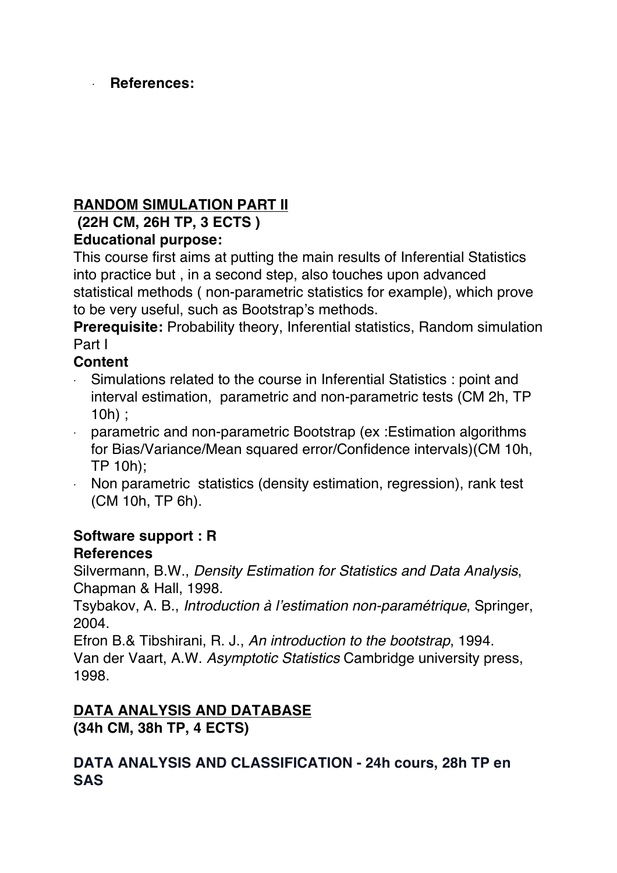#### · **References:**

### **RANDOM SIMULATION PART II**

# **(22H CM, 26H TP, 3 ECTS )**

### **Educational purpose:**

This course first aims at putting the main results of Inferential Statistics into practice but , in a second step, also touches upon advanced statistical methods ( non-parametric statistics for example), which prove to be very useful, such as Bootstrap's methods.

**Prerequisite:** Probability theory, Inferential statistics, Random simulation Part I

#### **Content**

- · Simulations related to the course in Inferential Statistics : point and interval estimation, parametric and non-parametric tests (CM 2h, TP 10h) ;
- · parametric and non-parametric Bootstrap (ex :Estimation algorithms for Bias/Variance/Mean squared error/Confidence intervals)(CM 10h, TP 10h);
- · Non parametric statistics (density estimation, regression), rank test (CM 10h, TP 6h).

# **Software support : R**

#### **References**

Silvermann, B.W., *Density Estimation for Statistics and Data Analysis*, Chapman & Hall, 1998.

Tsybakov, A. B., *Introduction à l'estimation non-paramétrique*, Springer, 2004.

Efron B.& Tibshirani, R. J., *An introduction to the bootstrap*, 1994. Van der Vaart, A.W. *Asymptotic Statistics* Cambridge university press, 1998.

# **DATA ANALYSIS AND DATABASE**

**(34h CM, 38h TP, 4 ECTS)**

#### **DATA ANALYSIS AND CLASSIFICATION - 24h cours, 28h TP en SAS**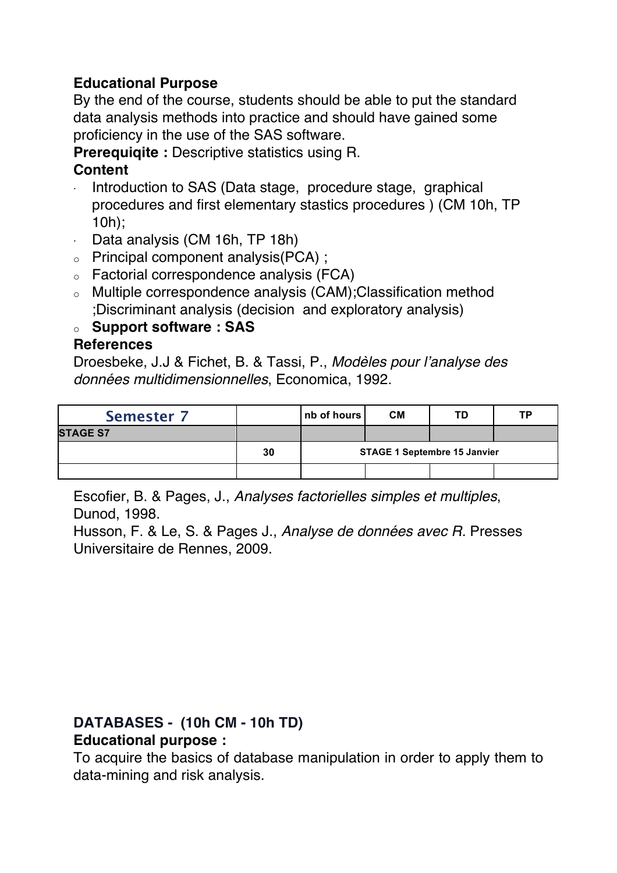#### **Educational Purpose**

By the end of the course, students should be able to put the standard data analysis methods into practice and should have gained some proficiency in the use of the SAS software.

**Prerequiqite :** Descriptive statistics using R.

#### **Content**

- Introduction to SAS (Data stage, procedure stage, graphical procedures and first elementary stastics procedures ) (CM 10h, TP 10h);
- · Data analysis (CM 16h, TP 18h)
- o Principal component analysis(PCA) ;
- o Factorial correspondence analysis (FCA)
- o Multiple correspondence analysis (CAM);Classification method ;Discriminant analysis (decision and exploratory analysis)

### o **Support software : SAS**

#### **References**

Droesbeke, J.J & Fichet, B. & Tassi, P., *Modèles pour l'analyse des données multidimensionnelles*, Economica, 1992.

| <b>Semester 7</b> |    | nb of hours                         | <b>CM</b> | TD | ТP |  |
|-------------------|----|-------------------------------------|-----------|----|----|--|
| <b>STAGE S7</b>   |    |                                     |           |    |    |  |
|                   | 30 | <b>STAGE 1 Septembre 15 Janvier</b> |           |    |    |  |
|                   |    |                                     |           |    |    |  |

Escofier, B. & Pages, J., *Analyses factorielles simples et multiples*, Dunod, 1998.

Husson, F. & Le, S. & Pages J., *Analyse de données avec R.* Presses Universitaire de Rennes, 2009.

# **DATABASES - (10h CM - 10h TD)**

# **Educational purpose :**

To acquire the basics of database manipulation in order to apply them to data-mining and risk analysis.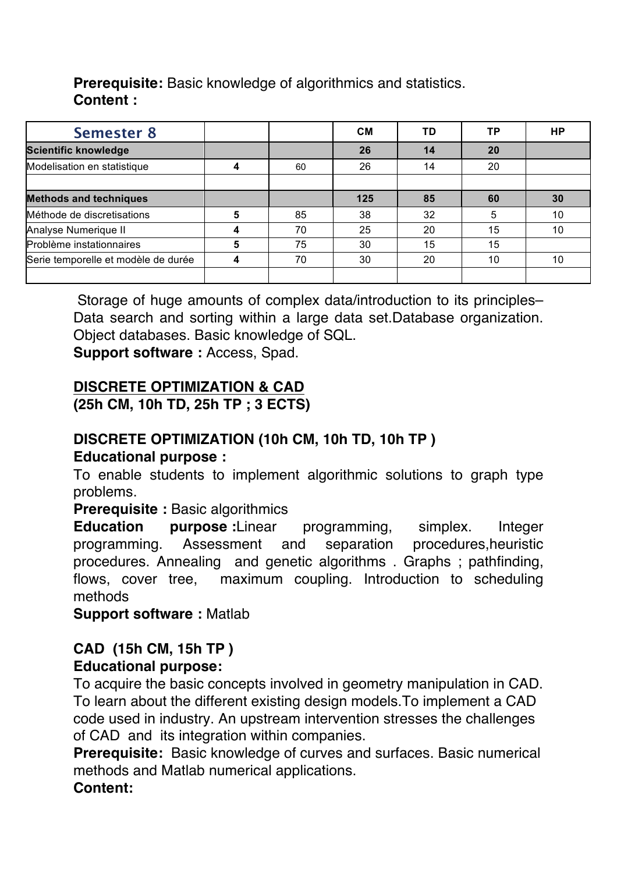**Prerequisite:** Basic knowledge of algorithmics and statistics. **Content :** 

| <b>Semester 8</b>                   |   |    | <b>CM</b> | TD | ТP | HP |
|-------------------------------------|---|----|-----------|----|----|----|
| <b>Scientific knowledge</b>         |   |    | 26        | 14 | 20 |    |
| Modelisation en statistique         |   | 60 | 26        | 14 | 20 |    |
|                                     |   |    |           |    |    |    |
| <b>Methods and techniques</b>       |   |    | 125       | 85 | 60 | 30 |
| Méthode de discretisations          | 5 | 85 | 38        | 32 | 5  | 10 |
| Analyse Numerique II                |   | 70 | 25        | 20 | 15 | 10 |
| Problème instationnaires            | 5 | 75 | 30        | 15 | 15 |    |
| Serie temporelle et modèle de durée |   | 70 | 30        | 20 | 10 | 10 |
|                                     |   |    |           |    |    |    |

Storage of huge amounts of complex data/introduction to its principles– Data search and sorting within a large data set.Database organization. Object databases. Basic knowledge of SQL.

**Support software :** Access, Spad.

#### **DISCRETE OPTIMIZATION & CAD**

**(25h CM, 10h TD, 25h TP ; 3 ECTS)**

# **DISCRETE OPTIMIZATION (10h CM, 10h TD, 10h TP )**

#### **Educational purpose :**

To enable students to implement algorithmic solutions to graph type problems.

#### **Prerequisite :** Basic algorithmics

**Education purpose :**Linear programming, simplex. Integer programming. Assessment and separation procedures,heuristic procedures. Annealing and genetic algorithms . Graphs ; pathfinding, flows, cover tree, maximum coupling. Introduction to scheduling methods

**Support software :** Matlab

# **CAD (15h CM, 15h TP )**

#### **Educational purpose:**

To acquire the basic concepts involved in geometry manipulation in CAD. To learn about the different existing design models.To implement a CAD code used in industry. An upstream intervention stresses the challenges of CAD and its integration within companies.

**Prerequisite:** Basic knowledge of curves and surfaces. Basic numerical methods and Matlab numerical applications.

#### **Content:**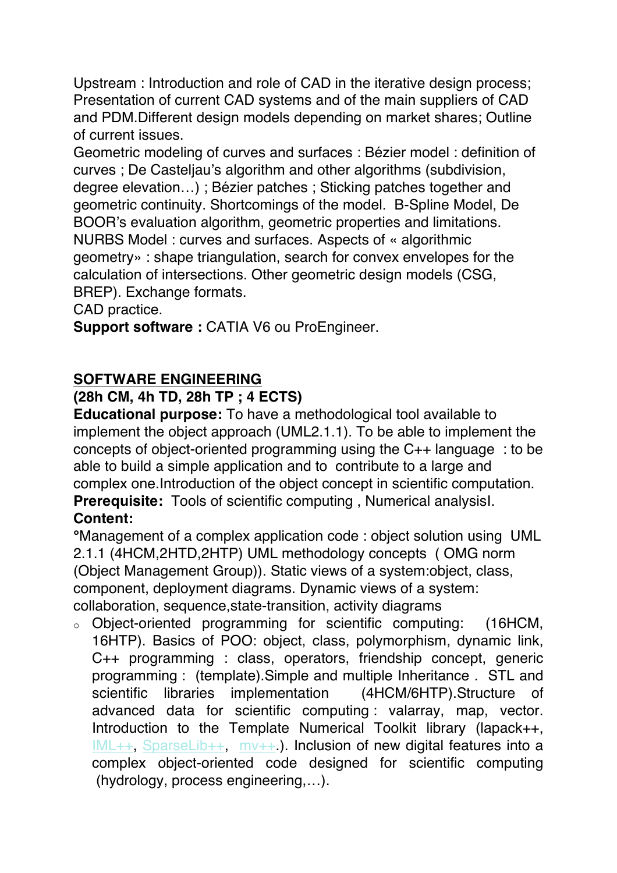Upstream : Introduction and role of CAD in the iterative design process; Presentation of current CAD systems and of the main suppliers of CAD and PDM.Different design models depending on market shares; Outline of current issues.

Geometric modeling of curves and surfaces : Bézier model : definition of curves ; De Casteljau's algorithm and other algorithms (subdivision, degree elevation…) ; Bézier patches ; Sticking patches together and geometric continuity. Shortcomings of the model. B-Spline Model, De BOOR's evaluation algorithm, geometric properties and limitations. NURBS Model : curves and surfaces. Aspects of « algorithmic geometry» : shape triangulation, search for convex envelopes for the calculation of intersections. Other geometric design models (CSG, BREP). Exchange formats.

CAD practice.

**Support software : CATIA V6 ou ProEngineer.** 

### **SOFTWARE ENGINEERING**

#### **(28h CM, 4h TD, 28h TP ; 4 ECTS)**

**Educational purpose:** To have a methodological tool available to implement the object approach (UML2.1.1). To be able to implement the concepts of object-oriented programming using the C++ language : to be able to build a simple application and to contribute to a large and complex one.Introduction of the object concept in scientific computation. **Prerequisite:** Tools of scientific computing , Numerical analysisI.

#### **Content:**

**°**Management of a complex application code : object solution using UML 2.1.1 (4HCM,2HTD,2HTP) UML methodology concepts ( OMG norm (Object Management Group)). Static views of a system:object, class, component, deployment diagrams. Dynamic views of a system: collaboration, sequence,state-transition, activity diagrams

o Object-oriented programming for scientific computing: (16HCM, 16HTP). Basics of POO: object, class, polymorphism, dynamic link, C++ programming : class, operators, friendship concept, generic programming : (template).Simple and multiple Inheritance . STL and scientific libraries implementation (4HCM/6HTP).Structure of advanced data for scientific computing : valarray, map, vector. Introduction to the Template Numerical Toolkit library (lapack++, IML++, SparseLib++, mv++.). Inclusion of new digital features into a complex object-oriented code designed for scientific computing (hydrology, process engineering,…).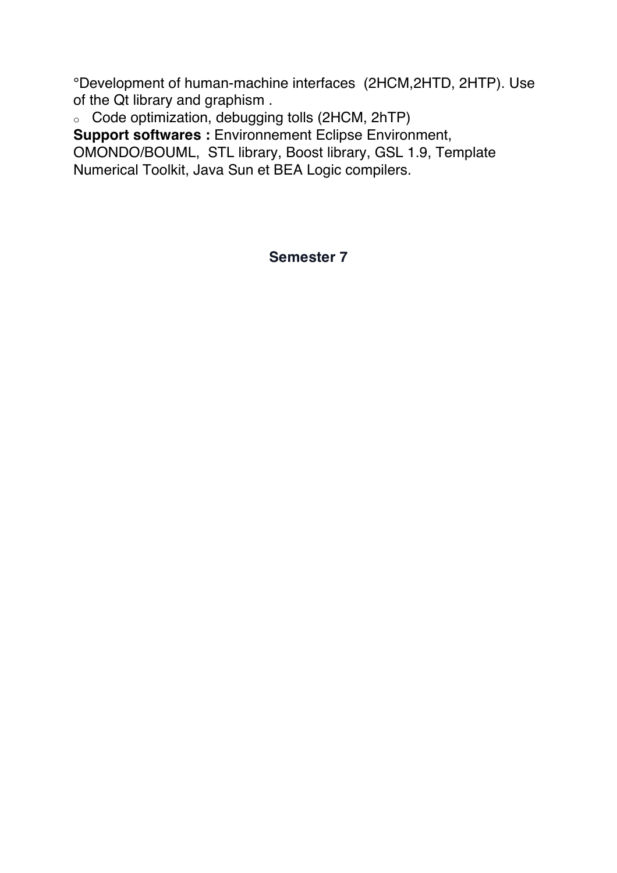°Development of human-machine interfaces (2HCM,2HTD, 2HTP). Use of the Qt library and graphism .

o Code optimization, debugging tolls (2HCM, 2hTP)

**Support softwares :** Environnement Eclipse Environment, OMONDO/BOUML, STL library, Boost library, GSL 1.9, Template Numerical Toolkit, Java Sun et BEA Logic compilers.

**Semester 7**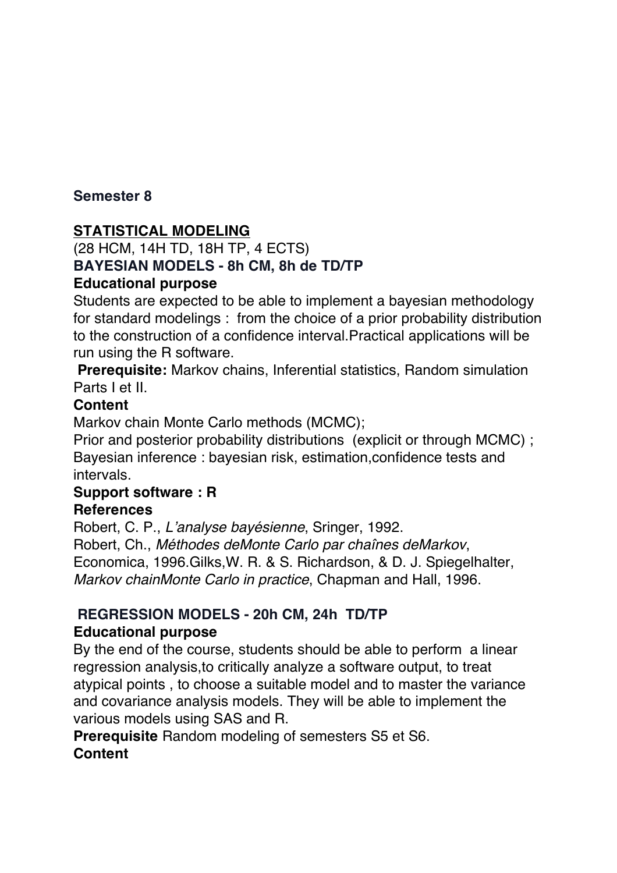#### **Semester 8**

#### **STATISTICAL MODELING**

#### (28 HCM, 14H TD, 18H TP, 4 ECTS) **BAYESIAN MODELS - 8h CM, 8h de TD/TP Educational purpose**

Students are expected to be able to implement a bayesian methodology for standard modelings : from the choice of a prior probability distribution to the construction of a confidence interval.Practical applications will be run using the R software.

**Prerequisite:** Markov chains, Inferential statistics, Random simulation Parts I et II.

#### **Content**

Markov chain Monte Carlo methods (MCMC);

Prior and posterior probability distributions (explicit or through MCMC) ; Bayesian inference : bayesian risk, estimation,confidence tests and intervals.

#### **Support software : R References**

Robert, C. P., *L'analyse bayésienne*, Sringer, 1992. Robert, Ch., *Méthodes deMonte Carlo par chaînes deMarkov*, Economica, 1996.Gilks,W. R. & S. Richardson, & D. J. Spiegelhalter, *Markov chainMonte Carlo in practice*, Chapman and Hall, 1996.

#### **REGRESSION MODELS - 20h CM, 24h TD/TP Educational purpose**

By the end of the course, students should be able to perform a linear regression analysis,to critically analyze a software output, to treat atypical points , to choose a suitable model and to master the variance and covariance analysis models. They will be able to implement the various models using SAS and R.

**Prerequisite** Random modeling of semesters S5 et S6. **Content**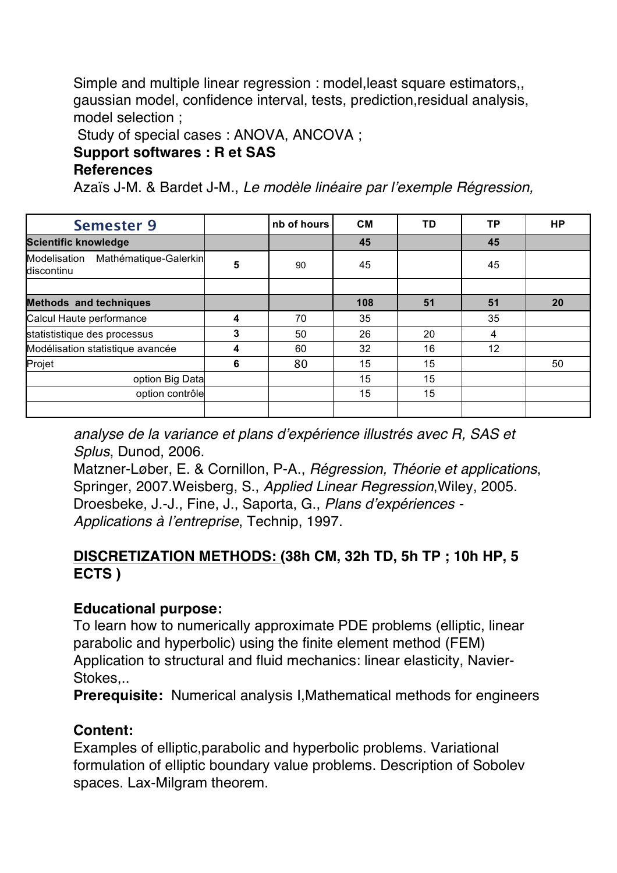Simple and multiple linear regression : model,least square estimators,, gaussian model, confidence interval, tests, prediction,residual analysis, model selection ;

Study of special cases : ANOVA, ANCOVA ;

#### **Support softwares : R et SAS**

#### **References**

Azaïs J-M. & Bardet J-M., *Le modèle linéaire par l'exemple Régression,* 

| <b>Semester 9</b>                                |   | nb of hours | <b>CM</b> | TD | ТP | <b>HP</b> |
|--------------------------------------------------|---|-------------|-----------|----|----|-----------|
| <b>Scientific knowledge</b>                      |   |             | 45        |    | 45 |           |
| Modelisation Mathématique-Galerkin<br>discontinu | 5 | 90          | 45        |    | 45 |           |
|                                                  |   |             |           |    |    |           |
| <b>Methods and techniques</b>                    |   |             | 108       | 51 | 51 | 20        |
| Calcul Haute performance                         | 4 | 70          | 35        |    | 35 |           |
| statististique des processus                     | 3 | 50          | 26        | 20 | 4  |           |
| Modélisation statistique avancée                 | 4 | 60          | 32        | 16 | 12 |           |
| Projet                                           | 6 | 80          | 15        | 15 |    | 50        |
| option Big Data                                  |   |             | 15        | 15 |    |           |
| option contrôle                                  |   |             | 15        | 15 |    |           |
|                                                  |   |             |           |    |    |           |

*analyse de la variance et plans d'expérience illustrés avec R, SAS et Splus*, Dunod, 2006.

Matzner-Løber, E. & Cornillon, P-A., *Régression, Théorie et applications*, Springer, 2007.Weisberg, S., *Applied Linear Regression*,Wiley, 2005. Droesbeke, J.-J., Fine, J., Saporta, G., *Plans d'expériences - Applications à l'entreprise*, Technip, 1997.

#### **DISCRETIZATION METHODS: (38h CM, 32h TD, 5h TP ; 10h HP, 5 ECTS )**

#### **Educational purpose:**

To learn how to numerically approximate PDE problems (elliptic, linear parabolic and hyperbolic) using the finite element method (FEM) Application to structural and fluid mechanics: linear elasticity, Navier-Stokes,..

**Prerequisite:** Numerical analysis I,Mathematical methods for engineers

#### **Content:**

Examples of elliptic,parabolic and hyperbolic problems. Variational formulation of elliptic boundary value problems. Description of Sobolev spaces. Lax-Milgram theorem.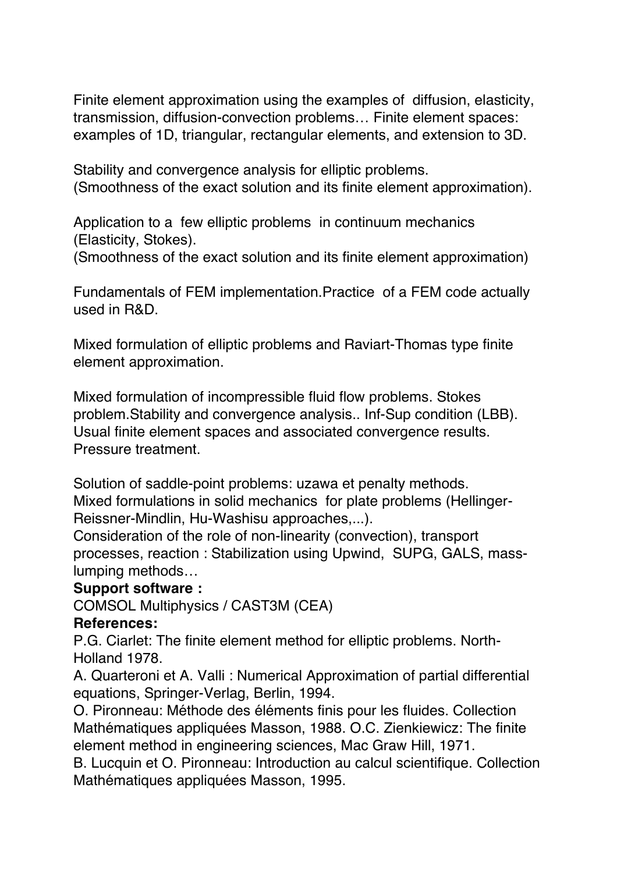Finite element approximation using the examples of diffusion, elasticity, transmission, diffusion-convection problems… Finite element spaces: examples of 1D, triangular, rectangular elements, and extension to 3D.

Stability and convergence analysis for elliptic problems. (Smoothness of the exact solution and its finite element approximation).

Application to a few elliptic problems in continuum mechanics (Elasticity, Stokes).

(Smoothness of the exact solution and its finite element approximation)

Fundamentals of FEM implementation.Practice of a FEM code actually used in R&D.

Mixed formulation of elliptic problems and Raviart-Thomas type finite element approximation.

Mixed formulation of incompressible fluid flow problems. Stokes problem.Stability and convergence analysis.. Inf-Sup condition (LBB). Usual finite element spaces and associated convergence results. Pressure treatment.

Solution of saddle-point problems: uzawa et penalty methods. Mixed formulations in solid mechanics for plate problems (Hellinger-Reissner-Mindlin, Hu-Washisu approaches,...).

Consideration of the role of non-linearity (convection), transport processes, reaction : Stabilization using Upwind, SUPG, GALS, masslumping methods…

#### **Support software :**

COMSOL Multiphysics / CAST3M (CEA)

#### **References:**

P.G. Ciarlet: The finite element method for elliptic problems. North-Holland 1978.

A. Quarteroni et A. Valli : Numerical Approximation of partial differential equations, Springer-Verlag, Berlin, 1994.

O. Pironneau: Méthode des éléments finis pour les fluides. Collection Mathématiques appliquées Masson, 1988. O.C. Zienkiewicz: The finite element method in engineering sciences, Mac Graw Hill, 1971.

B. Lucquin et O. Pironneau: Introduction au calcul scientifique. Collection Mathématiques appliquées Masson, 1995.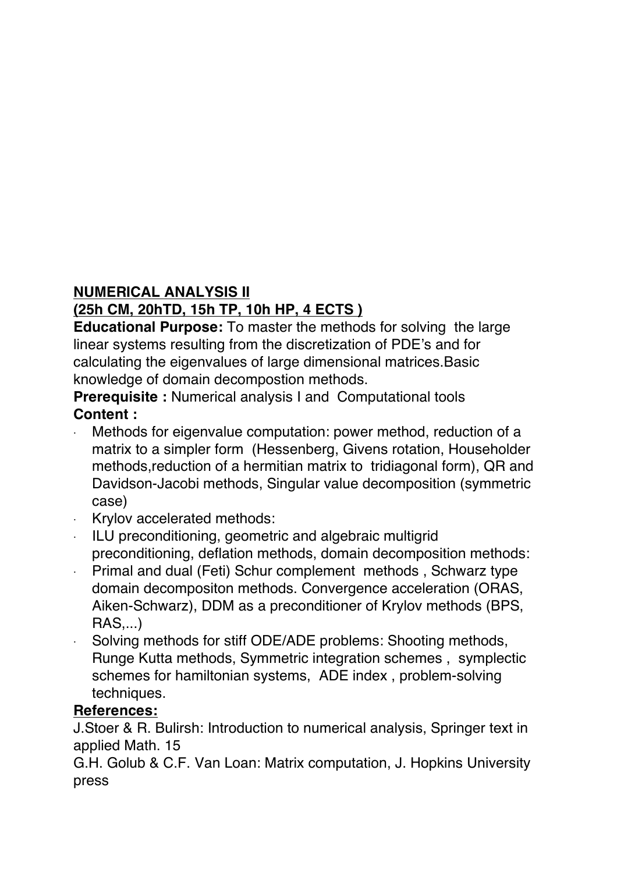#### **NUMERICAL ANALYSIS II**

# **(25h CM, 20hTD, 15h TP, 10h HP, 4 ECTS )**

**Educational Purpose:** To master the methods for solving the large linear systems resulting from the discretization of PDE's and for calculating the eigenvalues of large dimensional matrices.Basic knowledge of domain decompostion methods.

**Prerequisite :** Numerical analysis I and Computational tools **Content :**

- Methods for eigenvalue computation: power method, reduction of a matrix to a simpler form (Hessenberg, Givens rotation, Householder methods,reduction of a hermitian matrix to tridiagonal form), QR and Davidson-Jacobi methods, Singular value decomposition (symmetric case)
- · Krylov accelerated methods:
- · ILU preconditioning, geometric and algebraic multigrid preconditioning, deflation methods, domain decomposition methods:
- · Primal and dual (Feti) Schur complement methods , Schwarz type domain decompositon methods. Convergence acceleration (ORAS, Aiken-Schwarz), DDM as a preconditioner of Krylov methods (BPS, RAS,...)
- Solving methods for stiff ODE/ADE problems: Shooting methods, Runge Kutta methods, Symmetric integration schemes , symplectic schemes for hamiltonian systems, ADE index , problem-solving techniques.

#### **References:**

J.Stoer & R. Bulirsh: Introduction to numerical analysis, Springer text in applied Math. 15

G.H. Golub & C.F. Van Loan: Matrix computation, J. Hopkins University press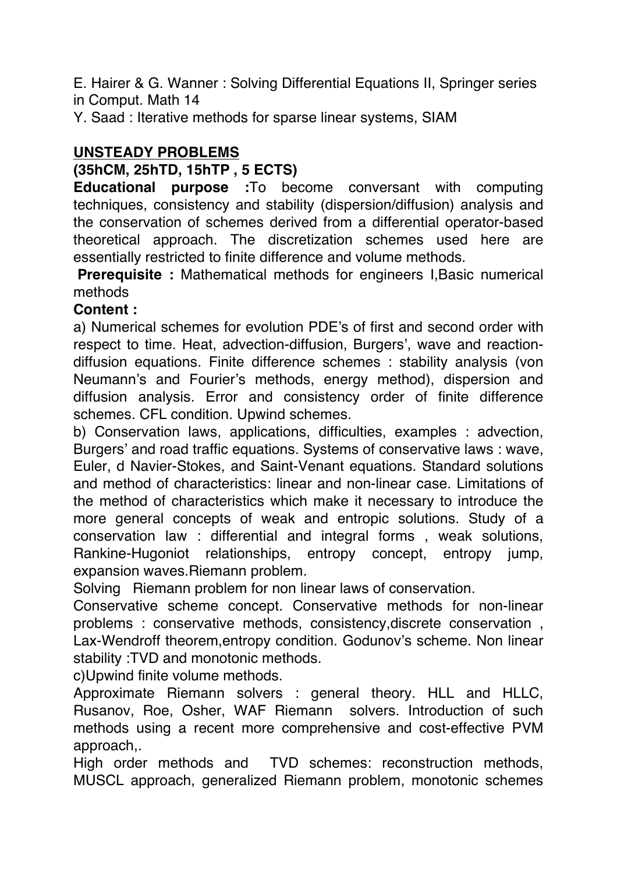E. Hairer & G. Wanner : Solving Differential Equations II, Springer series in Comput. Math 14

Y. Saad : Iterative methods for sparse linear systems, SIAM

### **UNSTEADY PROBLEMS**

### **(35hCM, 25hTD, 15hTP , 5 ECTS)**

**Educational purpose :**To become conversant with computing techniques, consistency and stability (dispersion/diffusion) analysis and the conservation of schemes derived from a differential operator-based theoretical approach. The discretization schemes used here are essentially restricted to finite difference and volume methods.

**Prerequisite :** Mathematical methods for engineers I,Basic numerical methods

#### **Content :**

a) Numerical schemes for evolution PDE's of first and second order with respect to time. Heat, advection-diffusion, Burgers', wave and reactiondiffusion equations. Finite difference schemes : stability analysis (von Neumann's and Fourier's methods, energy method), dispersion and diffusion analysis. Error and consistency order of finite difference schemes. CFL condition. Upwind schemes.

b) Conservation laws, applications, difficulties, examples : advection, Burgers' and road traffic equations. Systems of conservative laws : wave, Euler, d Navier-Stokes, and Saint-Venant equations. Standard solutions and method of characteristics: linear and non-linear case. Limitations of the method of characteristics which make it necessary to introduce the more general concepts of weak and entropic solutions. Study of a conservation law : differential and integral forms , weak solutions, Rankine-Hugoniot relationships, entropy concept, entropy jump, expansion waves.Riemann problem.

Solving Riemann problem for non linear laws of conservation.

Conservative scheme concept. Conservative methods for non-linear problems : conservative methods, consistency,discrete conservation , Lax-Wendroff theorem,entropy condition. Godunov's scheme. Non linear stability :TVD and monotonic methods.

c)Upwind finite volume methods.

Approximate Riemann solvers : general theory. HLL and HLLC, Rusanov, Roe, Osher, WAF Riemann solvers. Introduction of such methods using a recent more comprehensive and cost-effective PVM approach,.

High order methods and TVD schemes: reconstruction methods, MUSCL approach, generalized Riemann problem, monotonic schemes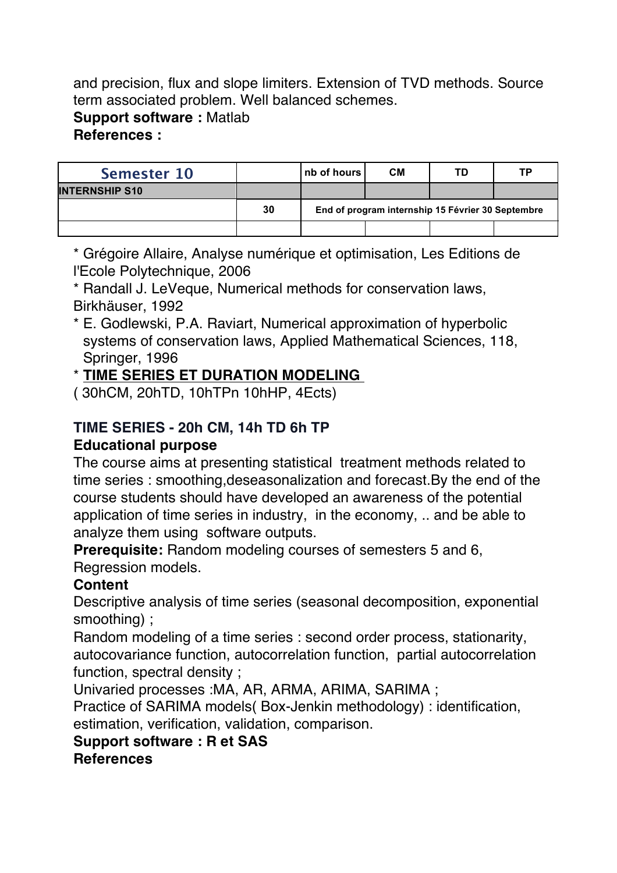and precision, flux and slope limiters. Extension of TVD methods. Source term associated problem. Well balanced schemes.

**Support software :** Matlab

#### **References :**

| Semester 10           |    | nb of hours                                       | <b>CM</b> | TD | ТP |  |  |
|-----------------------|----|---------------------------------------------------|-----------|----|----|--|--|
| <b>INTERNSHIP S10</b> |    |                                                   |           |    |    |  |  |
|                       | 30 | End of program internship 15 Février 30 Septembre |           |    |    |  |  |
|                       |    |                                                   |           |    |    |  |  |

\* Grégoire Allaire, Analyse numérique et optimisation, Les Editions de l'Ecole Polytechnique, 2006

\* Randall J. LeVeque, Numerical methods for conservation laws, Birkhäuser, 1992

\* E. Godlewski, P.A. Raviart, Numerical approximation of hyperbolic systems of conservation laws, Applied Mathematical Sciences, 118, Springer, 1996

#### \* **TIME SERIES ET DURATION MODELING**

( 30hCM, 20hTD, 10hTPn 10hHP, 4Ects)

# **TIME SERIES - 20h CM, 14h TD 6h TP Educational purpose**

The course aims at presenting statistical treatment methods related to time series : smoothing,deseasonalization and forecast.By the end of the course students should have developed an awareness of the potential application of time series in industry, in the economy, .. and be able to analyze them using software outputs.

**Prerequisite:** Random modeling courses of semesters 5 and 6, Regression models.

# **Content**

Descriptive analysis of time series (seasonal decomposition, exponential smoothing) ;

Random modeling of a time series : second order process, stationarity, autocovariance function, autocorrelation function, partial autocorrelation function, spectral density ;

Univaried processes :MA, AR, ARMA, ARIMA, SARIMA ;

Practice of SARIMA models( Box-Jenkin methodology) : identification, estimation, verification, validation, comparison.

#### **Support software : R et SAS**

**References**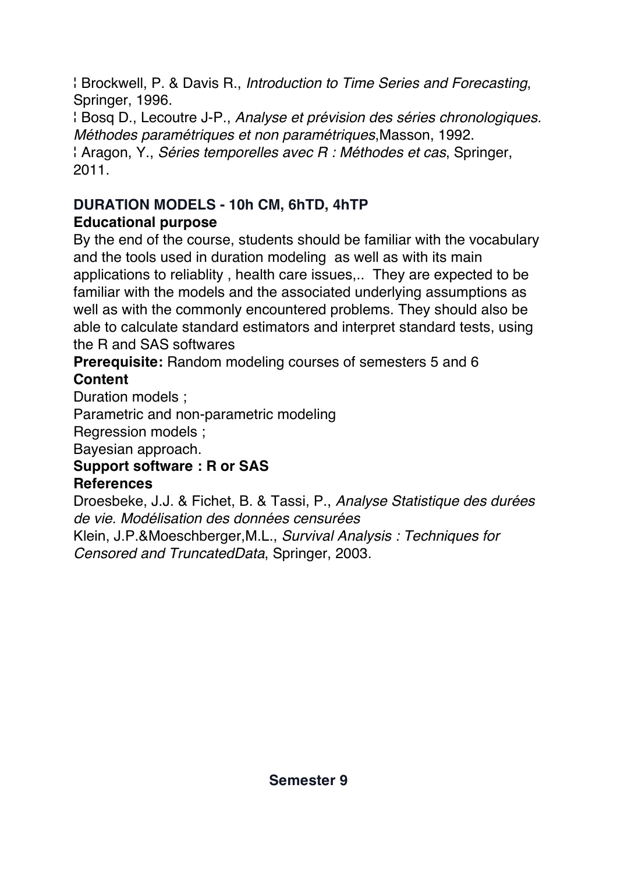¦ Brockwell, P. & Davis R., *Introduction to Time Series and Forecasting*, Springer, 1996.

¦ Bosq D., Lecoutre J-P., *Analyse et prévision des séries chronologiques. Méthodes paramétriques et non paramétriques*,Masson, 1992. ¦ Aragon, Y., *Séries temporelles avec R : Méthodes et cas*, Springer, 2011.

# **DURATION MODELS - 10h CM, 6hTD, 4hTP Educational purpose**

By the end of the course, students should be familiar with the vocabulary and the tools used in duration modeling as well as with its main applications to reliablity , health care issues,.. They are expected to be familiar with the models and the associated underlying assumptions as well as with the commonly encountered problems. They should also be able to calculate standard estimators and interpret standard tests, using the R and SAS softwares

**Prerequisite:** Random modeling courses of semesters 5 and 6 **Content**

Duration models ;

Parametric and non-parametric modeling

Regression models ;

Bayesian approach.

# **Support software : R or SAS**

# **References**

Droesbeke, J.J. & Fichet, B. & Tassi, P., *Analyse Statistique des durées de vie. Modélisation des données censurées*

Klein, J.P.&Moeschberger,M.L., *Survival Analysis : Techniques for Censored and TruncatedData*, Springer, 2003.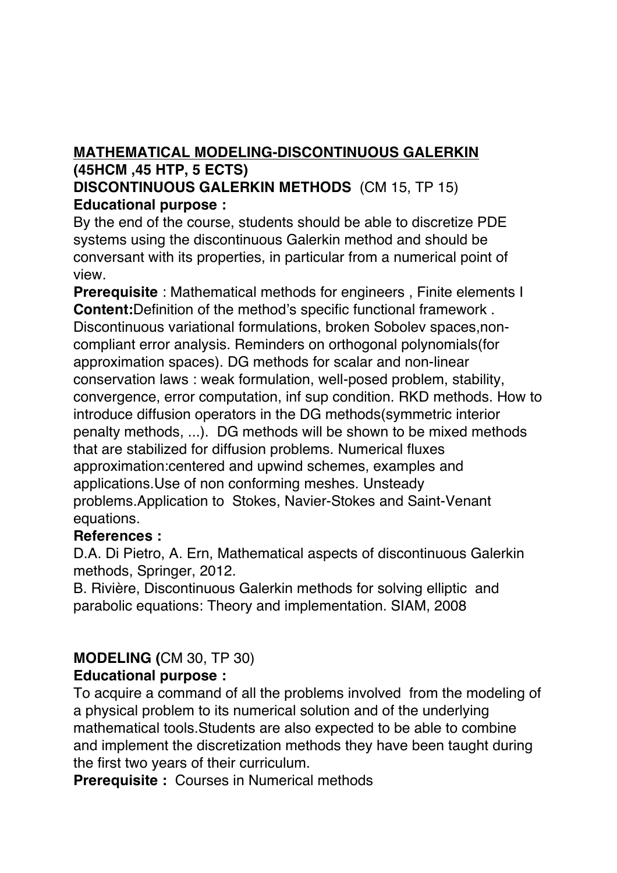# **MATHEMATICAL MODELING-DISCONTINUOUS GALERKIN (45HCM ,45 HTP, 5 ECTS)**

#### **DISCONTINUOUS GALERKIN METHODS** (CM 15, TP 15) **Educational purpose :**

By the end of the course, students should be able to discretize PDE systems using the discontinuous Galerkin method and should be conversant with its properties, in particular from a numerical point of view.

**Prerequisite**: Mathematical methods for engineers. Finite elements I **Content:**Definition of the method's specific functional framework . Discontinuous variational formulations, broken Sobolev spaces,noncompliant error analysis. Reminders on orthogonal polynomials(for approximation spaces). DG methods for scalar and non-linear conservation laws : weak formulation, well-posed problem, stability, convergence, error computation, inf sup condition. RKD methods. How to introduce diffusion operators in the DG methods(symmetric interior penalty methods, ...). DG methods will be shown to be mixed methods that are stabilized for diffusion problems. Numerical fluxes approximation:centered and upwind schemes, examples and applications.Use of non conforming meshes. Unsteady problems.Application to Stokes, Navier-Stokes and Saint-Venant equations.

#### **References :**

D.A. Di Pietro, A. Ern, Mathematical aspects of discontinuous Galerkin methods, Springer, 2012.

B. Rivière, Discontinuous Galerkin methods for solving elliptic and parabolic equations: Theory and implementation. SIAM, 2008

# **MODELING (**CM 30, TP 30)

# **Educational purpose :**

To acquire a command of all the problems involved from the modeling of a physical problem to its numerical solution and of the underlying mathematical tools.Students are also expected to be able to combine and implement the discretization methods they have been taught during the first two years of their curriculum.

**Prerequisite :** Courses in Numerical methods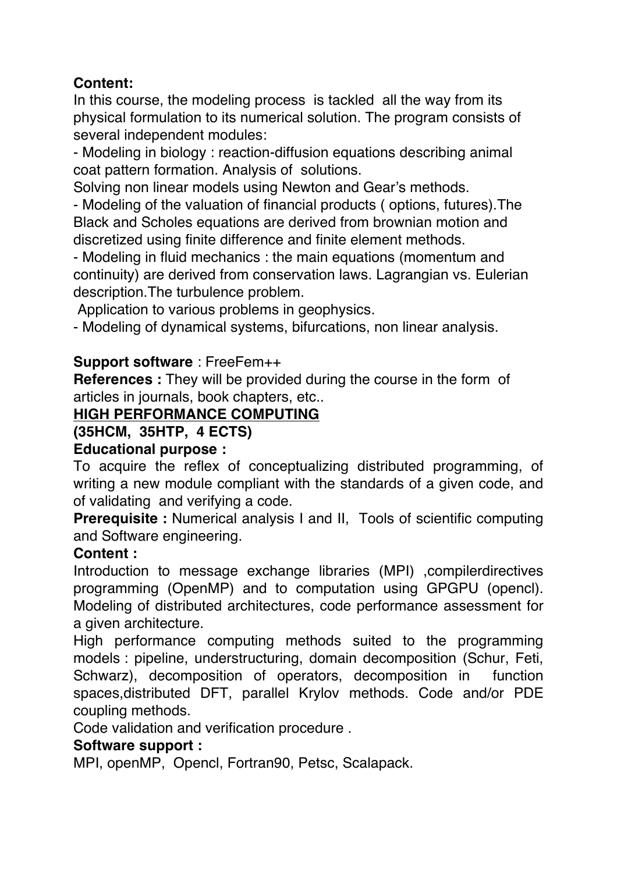# **Content:**

In this course, the modeling process is tackled all the way from its physical formulation to its numerical solution. The program consists of several independent modules:

- Modeling in biology : reaction-diffusion equations describing animal coat pattern formation. Analysis of solutions.

Solving non linear models using Newton and Gear's methods.

- Modeling of the valuation of financial products ( options, futures).The Black and Scholes equations are derived from brownian motion and discretized using finite difference and finite element methods.

- Modeling in fluid mechanics : the main equations (momentum and continuity) are derived from conservation laws. Lagrangian vs. Eulerian description.The turbulence problem.

Application to various problems in geophysics.

- Modeling of dynamical systems, bifurcations, non linear analysis.

#### **Support software** : FreeFem++

**References :** They will be provided during the course in the form of articles in journals, book chapters, etc..

#### **HIGH PERFORMANCE COMPUTING**

#### **(35HCM, 35HTP, 4 ECTS)**

#### **Educational purpose :**

To acquire the reflex of conceptualizing distributed programming, of writing a new module compliant with the standards of a given code, and of validating and verifying a code.

**Prerequisite :** Numerical analysis I and II, Tools of scientific computing and Software engineering.

#### **Content :**

Introduction to message exchange libraries (MPI) ,compilerdirectives programming (OpenMP) and to computation using GPGPU (opencl). Modeling of distributed architectures, code performance assessment for a given architecture.

High performance computing methods suited to the programming models : pipeline, understructuring, domain decomposition (Schur, Feti, Schwarz), decomposition of operators, decomposition in function spaces,distributed DFT, parallel Krylov methods. Code and/or PDE coupling methods.

Code validation and verification procedure .

#### **Software support :**

MPI, openMP, Opencl, Fortran90, Petsc, Scalapack.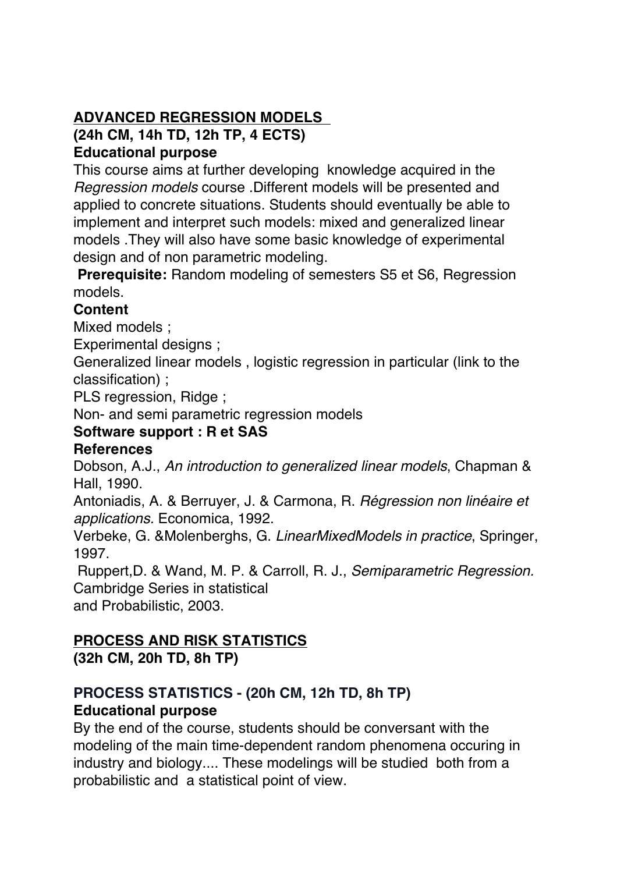# **ADVANCED REGRESSION MODELS**

**(24h CM, 14h TD, 12h TP, 4 ECTS)**

#### **Educational purpose**

This course aims at further developing knowledge acquired in the *Regression models* course .Different models will be presented and applied to concrete situations. Students should eventually be able to implement and interpret such models: mixed and generalized linear models .They will also have some basic knowledge of experimental design and of non parametric modeling.

**Prerequisite:** Random modeling of semesters S5 et S6, Regression models.

# **Content**

Mixed models ;

Experimental designs ;

Generalized linear models , logistic regression in particular (link to the classification) ;

PLS regression, Ridge ;

Non- and semi parametric regression models

# **Software support : R et SAS**

# **References**

Dobson, A.J., *An introduction to generalized linear models*, Chapman & Hall, 1990.

Antoniadis, A. & Berruyer, J. & Carmona, R. *Régression non linéaire et applications.* Economica, 1992.

Verbeke, G. &Molenberghs, G. *LinearMixedModels in practice*, Springer, 1997.

Ruppert,D. & Wand, M. P. & Carroll, R. J., *Semiparametric Regression.*  Cambridge Series in statistical and Probabilistic, 2003.

# **PROCESS AND RISK STATISTICS**

**(32h CM, 20h TD, 8h TP)**

# **PROCESS STATISTICS - (20h CM, 12h TD, 8h TP) Educational purpose**

By the end of the course, students should be conversant with the modeling of the main time-dependent random phenomena occuring in industry and biology.... These modelings will be studied both from a probabilistic and a statistical point of view.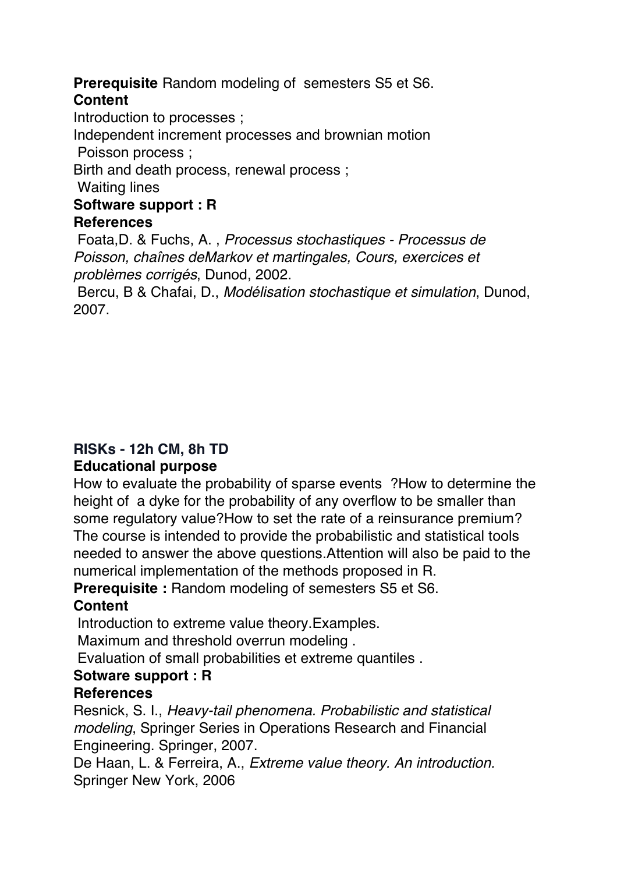#### **Prerequisite** Random modeling of semesters S5 et S6. **Content**

Introduction to processes ;

Independent increment processes and brownian motion

Poisson process ;

Birth and death process, renewal process ;

Waiting lines

#### **Software support : R**

#### **References**

Foata,D. & Fuchs, A. , *Processus stochastiques - Processus de Poisson, chaînes deMarkov et martingales, Cours, exercices et problèmes corrigés*, Dunod, 2002.

Bercu, B & Chafai, D., *Modélisation stochastique et simulation*, Dunod, 2007.

# **RISKs - 12h CM, 8h TD**

#### **Educational purpose**

How to evaluate the probability of sparse events ?How to determine the height of a dyke for the probability of any overflow to be smaller than some regulatory value?How to set the rate of a reinsurance premium? The course is intended to provide the probabilistic and statistical tools needed to answer the above questions.Attention will also be paid to the numerical implementation of the methods proposed in R.

**Prerequisite : Random modeling of semesters S5 et S6.** 

#### **Content**

Introduction to extreme value theory.Examples.

Maximum and threshold overrun modeling .

Evaluation of small probabilities et extreme quantiles .

#### **Sotware support : R**

#### **References**

Resnick, S. I., *Heavy-tail phenomena. Probabilistic and statistical modeling*, Springer Series in Operations Research and Financial Engineering. Springer, 2007.

De Haan, L. & Ferreira, A., *Extreme value theory. An introduction.*  Springer New York, 2006